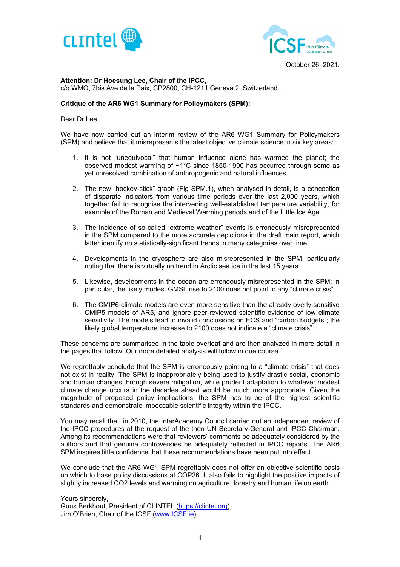



October 26, 2021.

## **Attention: Dr Hoesung Lee, Chair of the IPCC,**

c/o WMO, 7bis Ave de la Paix, CP2800, CH-1211 Geneva 2, Switzerland.

#### **Critique of the AR6 WG1 Summary for Policymakers (SPM):**

Dear Dr Lee,

We have now carried out an interim review of the AR6 WG1 Summary for Policymakers (SPM) and believe that it misrepresents the latest objective climate science in six key areas:

- 1. It is not "unequivocal" that human influence alone has warmed the planet; the observed modest warming of ~1°C since 1850-1900 has occurred through some as yet unresolved combination of anthropogenic and natural influences.
- 2. The new "hockey-stick" graph (Fig SPM.1), when analysed in detail, is a concoction of disparate indicators from various time periods over the last 2,000 years, which together fail to recognise the intervening well-established temperature variability, for example of the Roman and Medieval Warming periods and of the Little Ice Age.
- 3. The incidence of so-called "extreme weather" events is erroneously misrepresented in the SPM compared to the more accurate depictions in the draft main report, which latter identify no statistically-significant trends in many categories over time.
- 4. Developments in the cryosphere are also misrepresented in the SPM, particularly noting that there is virtually no trend in Arctic sea ice in the last 15 years.
- 5. Likewise, developments in the ocean are erroneously misrepresented in the SPM; in particular, the likely modest GMSL rise to 2100 does not point to any "climate crisis".
- 6. The CMIP6 climate models are even more sensitive than the already overly-sensitive CMIP5 models of AR5, and ignore peer-reviewed scientific evidence of low climate sensitivity. The models lead to invalid conclusions on ECS and "carbon budgets"; the likely global temperature increase to 2100 does not indicate a "climate crisis".

These concerns are summarised in the table overleaf and are then analyzed in more detail in the pages that follow. Our more detailed analysis will follow in due course.

We regrettably conclude that the SPM is erroneously pointing to a "climate crisis" that does not exist in reality. The SPM is inappropriately being used to justify drastic social, economic and human changes through severe mitigation, while prudent adaptation to whatever modest climate change occurs in the decades ahead would be much more appropriate. Given the magnitude of proposed policy implications, the SPM has to be of the highest scientific standards and demonstrate impeccable scientific integrity within the IPCC.

You may recall that, in 2010, the InterAcademy Council carried out an independent review of the IPCC procedures at the request of the then UN Secretary-General and IPCC Chairman. Among its recommendations were that reviewers' comments be adequately considered by the authors and that genuine controversies be adequately reflected in IPCC reports. The AR6 SPM inspires little confidence that these recommendations have been put into effect.

We conclude that the AR6 WG1 SPM regrettably does not offer an objective scientific basis on which to base policy discussions at COP26. It also fails to highlight the positive impacts of slightly increased CO2 levels and warming on agriculture, forestry and human life on earth.

Yours sincerely, Guus Berkhout, President of CLINTEL (https://clintel.org), Jim O'Brien, Chair of the ICSF (www.ICSF.ie).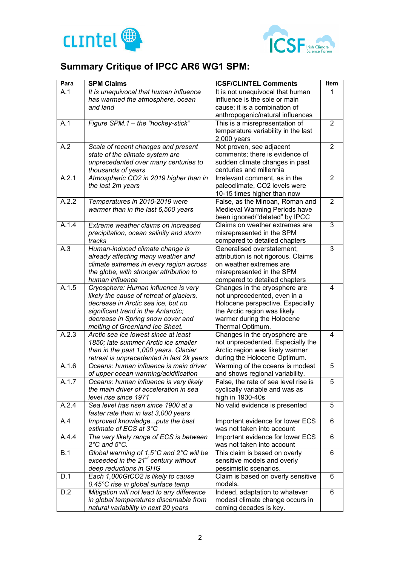



# **Summary Critique of IPCC AR6 WG1 SPM:**

| Para  | <b>SPM Claims</b>                                | <b>ICSF/CLINTEL Comments</b>         | Item           |
|-------|--------------------------------------------------|--------------------------------------|----------------|
| A.1   | It is unequivocal that human influence           | It is not unequivocal that human     | 1              |
|       | has warmed the atmosphere, ocean                 | influence is the sole or main        |                |
|       | and land                                         | cause; it is a combination of        |                |
|       |                                                  | anthropogenic/natural influences     |                |
| A.1   | Figure SPM.1 - the "hockey-stick"                | This is a misrepresentation of       | $\overline{2}$ |
|       |                                                  | temperature variability in the last  |                |
|       |                                                  | $2,000$ years                        |                |
| A.2   | Scale of recent changes and present              | Not proven, see adjacent             | $\overline{2}$ |
|       | state of the climate system are                  | comments; there is evidence of       |                |
|       | unprecedented over many centuries to             | sudden climate changes in past       |                |
|       | thousands of years                               | centuries and millennia              |                |
| A.2.1 | Atmospheric CO2 in 2019 higher than in           | Irrelevant comment, as in the        | 2              |
|       | the last 2m years                                | paleoclimate, CO2 levels were        |                |
|       |                                                  | 10-15 times higher than now          |                |
| A.2.2 | Temperatures in 2010-2019 were                   | False, as the Minoan, Roman and      | 2              |
|       | warmer than in the last 6,500 years              | Medieval Warming Periods have        |                |
|       |                                                  | been ignored/"deleted" by IPCC       |                |
| A.1.4 | Extreme weather claims on increased              | Claims on weather extremes are       | 3              |
|       |                                                  |                                      |                |
|       | precipitation, ocean salinity and storm          | misrepresented in the SPM            |                |
|       | tracks                                           | compared to detailed chapters        |                |
| A.3   | Human-induced climate change is                  | Generalised overstatement;           | 3              |
|       | already affecting many weather and               | attribution is not rigorous. Claims  |                |
|       | climate extremes in every region across          | on weather extremes are              |                |
|       | the globe, with stronger attribution to          | misrepresented in the SPM            |                |
|       | human influence                                  | compared to detailed chapters        |                |
| A.1.5 | Cryosphere: Human influence is very              | Changes in the cryosphere are        | 4              |
|       | likely the cause of retreat of glaciers,         | not unprecedented, even in a         |                |
|       | decrease in Arctic sea ice, but no               | Holocene perspective. Especially     |                |
|       | significant trend in the Antarctic;              | the Arctic region was likely         |                |
|       | decrease in Spring snow cover and                | warmer during the Holocene           |                |
|       | melting of Greenland Ice Sheet.                  | Thermal Optimum.                     |                |
| A.2.3 | Arctic sea ice lowest since at least             | Changes in the cryosphere are        | 4              |
|       | 1850; late summer Arctic ice smaller             | not unprecedented. Especially the    |                |
|       | than in the past 1,000 years. Glacier            | Arctic region was likely warmer      |                |
|       | retreat is unprecedented in last 2k years        | during the Holocene Optimum.         |                |
| A.1.6 | Oceans: human influence is main driver           | Warming of the oceans is modest      | 5              |
|       | of upper ocean warming/acidification             | and shows regional variability.      |                |
| A.1.7 | Oceans: human influence is very likely           | False, the rate of sea level rise is | 5              |
|       | the main driver of acceleration in sea           | cyclically variable and was as       |                |
|       | level rise since 1971                            | high in 1930-40s                     |                |
| A.2.4 | Sea level has risen since 1900 at a              | No valid evidence is presented       | 5              |
|       | faster rate than in last 3,000 years             |                                      |                |
| A.4   | Improved knowledgeputs the best                  | Important evidence for lower ECS     | 6              |
|       | estimate of ECS at 3°C                           | was not taken into account           |                |
| A.4.4 | The very likely range of ECS is between          | Important evidence for lower ECS     | 6              |
|       | $2^{\circ}$ C and $5^{\circ}$ C.                 | was not taken into account           |                |
| B.1   | Global warming of 1.5°C and 2°C will be          | This claim is based on overly        | 6              |
|       | exceeded in the 21 <sup>st</sup> century without |                                      |                |
|       |                                                  | sensitive models and overly          |                |
|       | deep reductions in GHG                           | pessimistic scenarios.               |                |
| D.1   | Each 1,000GtCO2 is likely to cause               | Claim is based on overly sensitive   | 6              |
|       | 0.45°C rise in global surface temp               | models.                              |                |
| D.2   | Mitigation will not lead to any difference       | Indeed, adaptation to whatever       | 6              |
|       | in global temperatures discernable from          | modest climate change occurs in      |                |
|       | natural variability in next 20 years             | coming decades is key.               |                |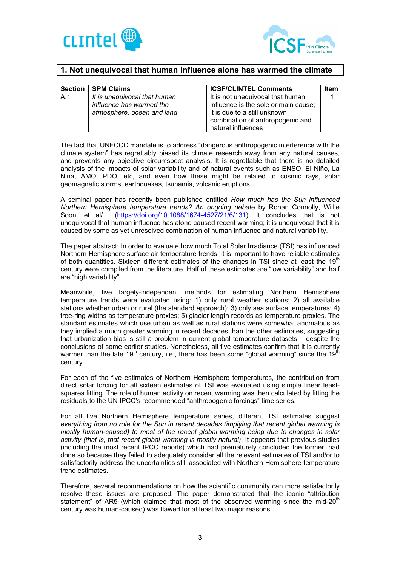



# **1. Not unequivocal that human influence alone has warmed the climate**

| <b>Section</b> | <b>SPM Claims</b>                                        | <b>ICSF/CLINTEL Comments</b>                                                           | <b>Item</b> |
|----------------|----------------------------------------------------------|----------------------------------------------------------------------------------------|-------------|
| A.1            | It is unequivocal that human<br>influence has warmed the | It is not unequivocal that human<br>influence is the sole or main cause;               |             |
|                | atmosphere, ocean and land                               | it is due to a still unknown<br>combination of anthropogenic and<br>natural influences |             |

The fact that UNFCCC mandate is to address "dangerous anthropogenic interference with the climate system" has regrettably biased its climate research away from any natural causes, and prevents any objective circumspect analysis. It is regrettable that there is no detailed analysis of the impacts of solar variability and of natural events such as ENSO, El Niño, La Niña, AMO, PDO, etc, and even how these might be related to cosmic rays, solar geomagnetic storms, earthquakes, tsunamis, volcanic eruptions.

A seminal paper has recently been published entitled *How much has the Sun influenced Northern Hemisphere temperature trends? An ongoing debat*e by Ronan Connolly, Willie Soon, et al/ (https://doi.org/10.1088/1674-4527/21/6/131). It concludes that is not unequivocal that human influence has alone caused recent warming; it is unequivocal that it is caused by some as yet unresolved combination of human influence and natural variability.

The paper abstract: In order to evaluate how much Total Solar Irradiance (TSI) has influenced Northern Hemisphere surface air temperature trends, it is important to have reliable estimates of both quantities. Sixteen different estimates of the changes in TSI since at least the 19<sup>th</sup> century were compiled from the literature. Half of these estimates are "low variability" and half are "high variability".

Meanwhile, five largely-independent methods for estimating Northern Hemisphere temperature trends were evaluated using: 1) only rural weather stations; 2) all available stations whether urban or rural (the standard approach); 3) only sea surface temperatures; 4) tree-ring widths as temperature proxies; 5) glacier length records as temperature proxies. The standard estimates which use urban as well as rural stations were somewhat anomalous as they implied a much greater warming in recent decades than the other estimates, suggesting that urbanization bias is still a problem in current global temperature datasets – despite the conclusions of some earlier studies. Nonetheless, all five estimates confirm that it is currently warmer than the late 19<sup>th</sup> century, i.e., there has been some "global warming" since the 19<sup>th</sup> century.

For each of the five estimates of Northern Hemisphere temperatures, the contribution from direct solar forcing for all sixteen estimates of TSI was evaluated using simple linear leastsquares fitting. The role of human activity on recent warming was then calculated by fitting the residuals to the UN IPCC's recommended "anthropogenic forcings" time series.

For all five Northern Hemisphere temperature series, different TSI estimates suggest *everything from no role for the Sun in recent decades (implying that recent global warming is mostly human-caused) to most of the recent global warming being due to changes in solar activity (that is, that recent global warming is mostly natural)*. It appears that previous studies (including the most recent IPCC reports) which had prematurely concluded the former, had done so because they failed to adequately consider all the relevant estimates of TSI and/or to satisfactorily address the uncertainties still associated with Northern Hemisphere temperature trend estimates.

Therefore, several recommendations on how the scientific community can more satisfactorily resolve these issues are proposed. The paper demonstrated that the iconic "attribution statement" of AR5 (which claimed that most of the observed warming since the mid- $20<sup>th</sup>$ century was human-caused) was flawed for at least two major reasons: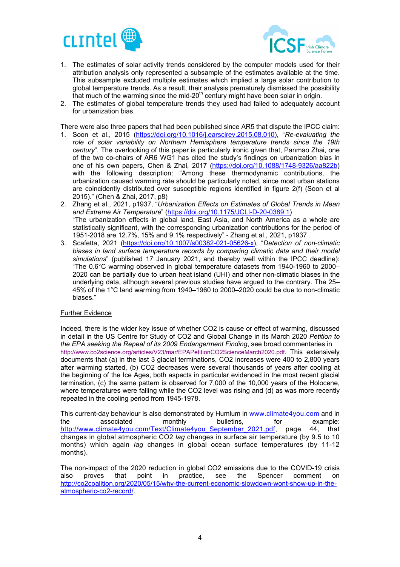



- 1. The estimates of solar activity trends considered by the computer models used for their attribution analysis only represented a subsample of the estimates available at the time. This subsample excluded multiple estimates which implied a large solar contribution to global temperature trends. As a result, their analysis prematurely dismissed the possibility that much of the warming since the mid-20<sup>th</sup> century might have been solar in origin.
- 2. The estimates of global temperature trends they used had failed to adequately account for urbanization bias.

There were also three papers that had been published since AR5 that dispute the IPCC claim:

- 1. Soon et al., 2015 (https://doi.org/10.1016/j.earscirev.2015.08.010), "*Re-evaluating the role of solar variability on Northern Hemisphere temperature trends since the 19th century*". The overlooking of this paper is particularly ironic given that, Panmao Zhai, one of the two co-chairs of AR6 WG1 has cited the study's findings on urbanization bias in one of his own papers, Chen & Zhai, 2017 (https://doi.org/10.1088/1748-9326/aa822b) with the following description: "Among these thermodynamic contributions, the urbanization caused warming rate should be particularly noted, since most urban stations are coincidently distributed over susceptible regions identified in figure 2(f) (Soon et al 2015)." (Chen & Zhai, 2017, p8)
- 2. Zhang et al., 2021, p1937, "*Urbanization Effects on Estimates of Global Trends in Mean and Extreme Air Temperature*" (https://doi.org/10.1175/JCLI-D-20-0389.1) "The urbanization effects in global land, East Asia, and North America as a whole are statistically significant, with the corresponding urbanization contributions for the period of 1951-2018 are 12.7%, 15% and 9.1% respectively" - Zhang et al., 2021, p1937
- 3. Scafetta, 2021 (https://doi.org/10.1007/s00382-021-05626-x), "*Detection of non‐climatic biases in land surface temperature records by comparing climatic data and their model simulations*" (published 17 January 2021, and thereby well within the IPCC deadline): "The 0.6°C warming observed in global temperature datasets from 1940-1960 to 2000– 2020 can be partially due to urban heat island (UHI) and other non-climatic biases in the underlying data, although several previous studies have argued to the contrary. The 25– 45% of the 1°C land warming from 1940–1960 to 2000–2020 could be due to non-climatic biases."

## Further Evidence

Indeed, there is the wider key issue of whether CO2 is cause or effect of warming, discussed in detail in the US Centre for Study of CO2 and Global Change in its March 2020 *Petition to the EPA seeking the Repeal of its 2009 Endangerment Finding*, see broad commentaries in http://www.co2science.org/articles/V23/mar/EPAPetitionCO2ScienceMarch2020.pdf. This extensively documents that (a) in the last 3 glacial terminations, CO2 increases were 400 to 2,800 years after warming started, (b) CO2 decreases were several thousands of years after cooling at the beginning of the Ice Ages, both aspects in particular evidenced in the most recent glacial termination, (c) the same pattern is observed for 7,000 of the 10,000 years of the Holocene, where temperatures were falling while the CO2 level was rising and (d) as was more recently repeated in the cooling period from 1945-1978.

This current-day behaviour is also demonstrated by Humlum in www.climate4you.com and in the associated monthly bulletins, for example: http://www.climate4you.com/Text/Climate4you\_September\_2021.pdf, page 44, that changes in global atmospheric CO2 *lag* changes in surface air temperature (by 9.5 to 10 months) which again *lag* changes in global ocean surface temperatures (by 11-12 months).

The non-impact of the 2020 reduction in global CO2 emissions due to the COVID-19 crisis also proves that point in practice, see the Spencer comment on http://co2coalition.org/2020/05/15/why-the-current-economic-slowdown-wont-show-up-in-theatmospheric-co2-record/.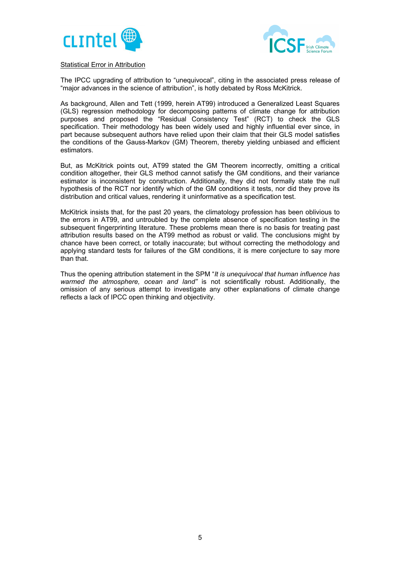



## Statistical Error in Attribution

The IPCC upgrading of attribution to "unequivocal", citing in the associated press release of "major advances in the science of attribution", is hotly debated by Ross McKitrick.

As background, Allen and Tett (1999, herein AT99) introduced a Generalized Least Squares (GLS) regression methodology for decomposing patterns of climate change for attribution purposes and proposed the "Residual Consistency Test" (RCT) to check the GLS specification. Their methodology has been widely used and highly influential ever since, in part because subsequent authors have relied upon their claim that their GLS model satisfies the conditions of the Gauss-Markov (GM) Theorem, thereby yielding unbiased and efficient estimators.

But, as McKitrick points out, AT99 stated the GM Theorem incorrectly, omitting a critical condition altogether, their GLS method cannot satisfy the GM conditions, and their variance estimator is inconsistent by construction. Additionally, they did not formally state the null hypothesis of the RCT nor identify which of the GM conditions it tests, nor did they prove its distribution and critical values, rendering it uninformative as a specification test.

McKitrick insists that, for the past 20 years, the climatology profession has been oblivious to the errors in AT99, and untroubled by the complete absence of specification testing in the subsequent fingerprinting literature. These problems mean there is no basis for treating past attribution results based on the AT99 method as robust or valid. The conclusions might by chance have been correct, or totally inaccurate; but without correcting the methodology and applying standard tests for failures of the GM conditions, it is mere conjecture to say more than that.

Thus the opening attribution statement in the SPM "*It is unequivocal that human influence has warmed the atmosphere, ocean and land"* is not scientifically robust. Additionally, the omission of any serious attempt to investigate any other explanations of climate change reflects a lack of IPCC open thinking and objectivity.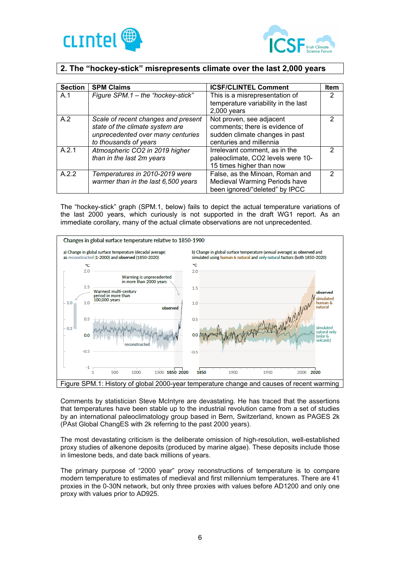



# **2. The "hockey-stick" misrepresents climate over the last 2,000 years**

| <b>Section</b> | <b>SPM Claims</b>                                                                                                                    | <b>ICSF/CLINTEL Comment</b>                                                                                             | <b>Item</b>    |
|----------------|--------------------------------------------------------------------------------------------------------------------------------------|-------------------------------------------------------------------------------------------------------------------------|----------------|
| A.1            | Figure SPM.1 - the "hockey-stick"                                                                                                    | This is a misrepresentation of<br>temperature variability in the last                                                   | 2              |
|                |                                                                                                                                      | $2,000$ years                                                                                                           |                |
| A.2            | Scale of recent changes and present<br>state of the climate system are<br>unprecedented over many centuries<br>to thousands of years | Not proven, see adjacent<br>comments; there is evidence of<br>sudden climate changes in past<br>centuries and millennia | 2              |
| A.2.1          | Atmospheric CO2 in 2019 higher<br>than in the last 2m years                                                                          | Irrelevant comment, as in the<br>paleoclimate, CO2 levels were 10-<br>15 times higher than now                          | $\mathcal{P}$  |
| A.2.2          | Temperatures in 2010-2019 were<br>warmer than in the last 6,500 years                                                                | False, as the Minoan, Roman and<br>Medieval Warming Periods have<br>been ignored/"deleted" by IPCC                      | $\mathfrak{p}$ |

The "hockey-stick" graph (SPM.1, below) fails to depict the actual temperature variations of the last 2000 years, which curiously is not supported in the draft WG1 report. As an immediate corollary, many of the actual climate observations are not unprecedented.



Comments by statistician Steve McIntyre are devastating. He has traced that the assertions that temperatures have been stable up to the industrial revolution came from a set of studies by an international paleoclimatology group based in Bern, Switzerland, known as PAGES 2k (PAst Global ChangES with 2k referring to the past 2000 years).

The most devastating criticism is the deliberate omission of high-resolution, well-established proxy studies of alkenone deposits (produced by marine algae). These deposits include those in limestone beds, and date back millions of years.

The primary purpose of "2000 year" proxy reconstructions of temperature is to compare modern temperature to estimates of medieval and first millennium temperatures. There are 41 proxies in the 0-30N network, but only three proxies with values before AD1200 and only one proxy with values prior to AD925.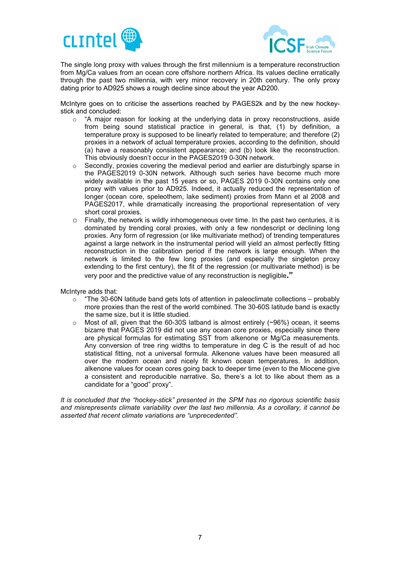



The single long proxy with values through the first millennium is a temperature reconstruction from Mg/Ca values from an ocean core offshore northern Africa. Its values decline erratically through the past two millennia, with very minor recovery in 20th century. The only proxy dating prior to AD925 shows a rough decline since about the year AD200.

McIntyre goes on to criticise the assertions reached by PAGES2k and by the new hockeystick and concluded:

- $\circ$  "A major reason for looking at the underlying data in proxy reconstructions, aside from being sound statistical practice in general, is that, (1) by definition, a temperature proxy is supposed to be linearly related to temperature; and therefore (2) proxies in a network of actual temperature proxies, according to the definition, should (a) have a reasonably consistent appearance; and (b) look like the reconstruction. This obviously doesn't occur in the PAGES2019 0-30N network.
- o Secondly, proxies covering the medieval period and earlier are disturbingly sparse in the PAGES2019 0-30N network. Although such series have become much more widely available in the past 15 years or so, PAGES 2019 0-30N contains only one proxy with values prior to AD925. Indeed, it actually reduced the representation of longer (ocean core, speleothem, lake sediment) proxies from Mann et al 2008 and PAGES2017, while dramatically increasing the proportional representation of very short coral proxies.
- o Finally, the network is wildly inhomogeneous over time. In the past two centuries, it is dominated by trending coral proxies, with only a few nondescript or declining long proxies. Any form of regression (or like multivariate method) of trending temperatures against a large network in the instrumental period will yield an almost perfectly fitting reconstruction in the calibration period if the network is large enough. When the network is limited to the few long proxies (and especially the singleton proxy extending to the first century), the fit of the regression (or multivariate method) is be very poor and the predictive value of any reconstruction is negligible**."**

McIntyre adds that:

- $\circ$  "The 30-60N latitude band gets lots of attention in paleoclimate collections probably more proxies than the rest of the world combined. The 30-60S latitude band is exactly the same size, but it is little studied.
- $\circ$  Most of all, given that the 60-30S latband is almost entirely (~96%) ocean, it seems bizarre that PAGES 2019 did not use any ocean core proxies, especially since there are physical formulas for estimating SST from alkenone or Mg/Ca measurements. Any conversion of tree ring widths to temperature in deg C is the result of ad hoc statistical fitting, not a universal formula. Alkenone values have been measured all over the modern ocean and nicely fit known ocean temperatures. In addition, alkenone values for ocean cores going back to deeper time (even to the Miocene give a consistent and reproducible narrative. So, there's a lot to like about them as a candidate for a "good" proxy".

*It is concluded that the "hockey-stick" presented in the SPM has no rigorous scientific basis and misrepresents climate variability over the last two millennia. As a corollary, it cannot be asserted that recent climate variations are "unprecedented".*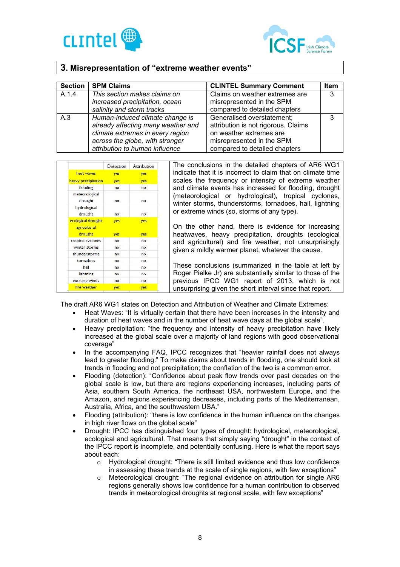



# **3. Misrepresentation of "extreme weather events"**

| <b>Section</b> | <b>SPM Claims</b>                                                                                                                                                              | <b>CLINTEL Summary Comment</b>                                                                                                                             | <b>Item</b> |
|----------------|--------------------------------------------------------------------------------------------------------------------------------------------------------------------------------|------------------------------------------------------------------------------------------------------------------------------------------------------------|-------------|
| A.1.4          | This section makes claims on<br>increased precipitation, ocean<br>salinity and storm tracks                                                                                    | Claims on weather extremes are<br>misrepresented in the SPM<br>compared to detailed chapters                                                               | 3           |
| A.3            | Human-induced climate change is<br>already affecting many weather and<br>climate extremes in every region<br>across the globe, with stronger<br>attribution to human influence | Generalised overstatement;<br>attribution is not rigorous. Claims<br>on weather extremes are<br>misrepresented in the SPM<br>compared to detailed chapters | 3           |

|                           | Detection | Attribution |
|---------------------------|-----------|-------------|
| heat waves                | yes       | yes         |
| heavy precipitation       | yes       | yes         |
| flooding                  | no        | no          |
| meteorological<br>drought | no        | no          |
| hydrological<br>drought   | no        | no          |
| ecological drought        | yes       | yes         |
| agricultural<br>drought   | yes       | yes         |
| tropical cyclones         | no        | no          |
| winter storms             | no        | no          |
| thunderstorms             | no        | no          |
| tornadoes                 | no        | no          |
| hail                      | no        | no          |
| lightning                 | no        | no          |
| extreme winds             | no        | no          |
| fire weather              | yes       | yes         |

The conclusions in the detailed chapters of AR6 WG1 indicate that it is incorrect to claim that on climate time scales the frequency or intensity of extreme weather and climate events has increased for flooding, drought (meteorological or hydrological), tropical cyclones, winter storms, thunderstorms, tornadoes, hail, lightning or extreme winds (so, storms of any type).

On the other hand, there is evidence for increasing heatwaves, heavy precipitation, droughts (ecological and agricultural) and fire weather, not unsurprisingly given a mildly warmer planet, whatever the cause.

These conclusions (summarized in the table at left by Roger Pielke Jr) are substantially similar to those of the previous IPCC WG1 report of 2013, which is not unsurprising given the short interval since that report.

The draft AR6 WG1 states on Detection and Attribution of Weather and Climate Extremes:

- Heat Waves: "It is virtually certain that there have been increases in the intensity and duration of heat waves and in the number of heat wave days at the global scale".
- Heavy precipitation: "the frequency and intensity of heavy precipitation have likely increased at the global scale over a majority of land regions with good observational coverage"
- In the accompanying FAQ, IPCC recognizes that "heavier rainfall does not always lead to greater flooding." To make claims about trends in flooding, one should look at trends in flooding and not precipitation; the conflation of the two is a common error.
- Flooding (detection): "Confidence about peak flow trends over past decades on the global scale is low, but there are regions experiencing increases, including parts of Asia, southern South America, the northeast USA, northwestern Europe, and the Amazon, and regions experiencing decreases, including parts of the Mediterranean, Australia, Africa, and the southwestern USA."
- Flooding (attribution): "there is low confidence in the human influence on the changes in high river flows on the global scale"
- Drought: IPCC has distinguished four types of drought: hydrological, meteorological, ecological and agricultural. That means that simply saying "drought" in the context of the IPCC report is incomplete, and potentially confusing. Here is what the report says about each:
	- o Hydrological drought: "There is still limited evidence and thus low confidence in assessing these trends at the scale of single regions, with few exceptions"
	- o Meteorological drought: "The regional evidence on attribution for single AR6 regions generally shows low confidence for a human contribution to observed trends in meteorological droughts at regional scale, with few exceptions"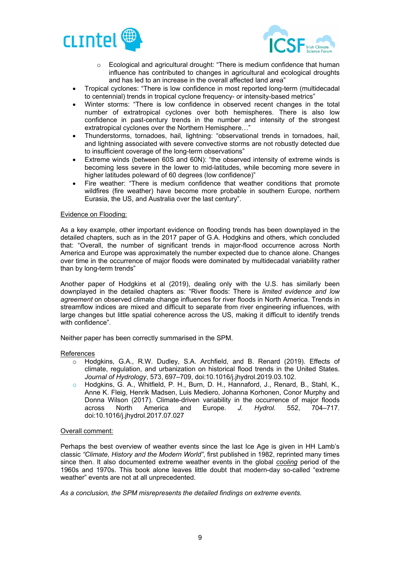



- o Ecological and agricultural drought: "There is medium confidence that human influence has contributed to changes in agricultural and ecological droughts and has led to an increase in the overall affected land area"
- Tropical cyclones: "There is low confidence in most reported long-term (multidecadal to centennial) trends in tropical cyclone frequency- or intensity-based metrics"
- Winter storms: "There is low confidence in observed recent changes in the total number of extratropical cyclones over both hemispheres. There is also low confidence in past-century trends in the number and intensity of the strongest extratropical cyclones over the Northern Hemisphere…"
- Thunderstorms, tornadoes, hail, lightning: "observational trends in tornadoes, hail, and lightning associated with severe convective storms are not robustly detected due to insufficient coverage of the long-term observations"
- Extreme winds (between 60S and 60N): "the observed intensity of extreme winds is becoming less severe in the lower to mid-latitudes, while becoming more severe in higher latitudes poleward of 60 degrees (low confidence)"
- Fire weather: "There is medium confidence that weather conditions that promote wildfires (fire weather) have become more probable in southern Europe, northern Eurasia, the US, and Australia over the last century".

#### Evidence on Flooding:

As a key example, other important evidence on flooding trends has been downplayed in the detailed chapters, such as in the 2017 paper of G.A. Hodgkins and others, which concluded that: "Overall, the number of significant trends in major-flood occurrence across North America and Europe was approximately the number expected due to chance alone. Changes over time in the occurrence of major floods were dominated by multidecadal variability rather than by long-term trends"

Another paper of Hodgkins et al (2019), dealing only with the U.S. has similarly been downplayed in the detailed chapters as: "River floods: There is *limited evidence and low agreement* on observed climate change influences for river floods in North America. Trends in streamflow indices are mixed and difficult to separate from river engineering influences, with large changes but little spatial coherence across the US, making it difficult to identify trends with confidence".

Neither paper has been correctly summarised in the SPM.

#### References

- o Hodgkins, G.A., R.W. Dudley, S.A. Archfield, and B. Renard (2019). Effects of climate, regulation, and urbanization on historical flood trends in the United States. *Journal of Hydrology*, 573, 697–709, doi:10.1016/j.jhydrol.2019.03.102.
- o Hodgkins, G. A., Whitfield, P. H., Burn, D. H., Hannaford, J., Renard, B., Stahl, K., Anne K. Fleig, Henrik Madsen, Luis Mediero, Johanna Korhonen, Conor Murphy and Donna Wilson (2017). Climate-driven variability in the occurrence of major floods across North America and Europe. *J. Hydrol.* 552, 704–717. doi:10.1016/j.jhydrol.2017.07.027

#### Overall comment:

Perhaps the best overview of weather events since the last Ice Age is given in HH Lamb's classic *"Climate, History and the Modern World"*, first published in 1982, reprinted many times since then. It also documented extreme weather events in the global *cooling* period of the 1960s and 1970s. This book alone leaves little doubt that modern-day so-called "extreme weather" events are not at all unprecedented.

*As a conclusion, the SPM misrepresents the detailed findings on extreme events.*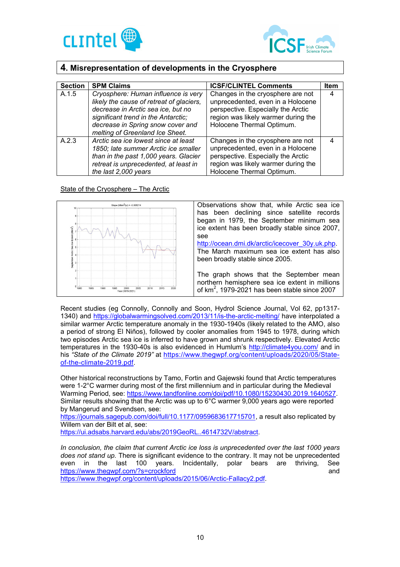



# **4. Misrepresentation of developments in the Cryosphere**

| <b>Section</b> | <b>SPM Claims</b>                                                                                                                                                                                                                    | <b>ICSF/CLINTEL Comments</b>                                                                                                                                                     | <b>Item</b> |
|----------------|--------------------------------------------------------------------------------------------------------------------------------------------------------------------------------------------------------------------------------------|----------------------------------------------------------------------------------------------------------------------------------------------------------------------------------|-------------|
| A.1.5          | Cryosphere: Human influence is very<br>likely the cause of retreat of glaciers,<br>decrease in Arctic sea ice, but no<br>significant trend in the Antarctic;<br>decrease in Spring snow cover and<br>melting of Greenland Ice Sheet. | Changes in the cryosphere are not<br>unprecedented, even in a Holocene<br>perspective. Especially the Arctic<br>region was likely warmer during the<br>Holocene Thermal Optimum. | 4           |
| A.2.3          | Arctic sea ice lowest since at least<br>1850; late summer Arctic ice smaller<br>than in the past 1,000 years. Glacier<br>retreat is unprecedented, at least in<br>the last 2,000 years                                               | Changes in the cryosphere are not<br>unprecedented, even in a Holocene<br>perspective. Especially the Arctic<br>region was likely warmer during the<br>Holocene Thermal Optimum. | 4           |

## State of the Cryosphere – The Arctic



Recent studies (eg Connolly, Connolly and Soon, Hydrol Science Journal, Vol 62, pp1317- 1340) and https://globalwarmingsolved.com/2013/11/is-the-arctic-melting/ have interpolated a similar warmer Arctic temperature anomaly in the 1930-1940s (likely related to the AMO, also a period of strong El Niños), followed by cooler anomalies from 1945 to 1978, during which two episodes Arctic sea ice is inferred to have grown and shrunk respectively. Elevated Arctic temperatures in the 1930-40s is also evidenced in Humlum's http://climate4you.com/ and in his *"State of the Climate 2019"* at https://www.thegwpf.org/content/uploads/2020/05/Stateof-the-climate-2019.pdf.

Other historical reconstructions by Tamo, Fortin and Gajewski found that Arctic temperatures were 1-2°C warmer during most of the first millennium and in particular during the Medieval Warming Period, see: https://www.tandfonline.com/doi/pdf/10.1080/15230430.2019.1640527. Similar results showing that the Arctic was up to 6°C warmer 9,000 years ago were reported by Mangerud and Svendsen, see:

https://journals.sagepub.com/doi/full/10.1177/0959683617715701, a result also replicated by Willem van der Bilt et al, see:

https://ui.adsabs.harvard.edu/abs/2019GeoRL..4614732V/abstract.

*In conclusion, the claim that current Arctic ice loss is unprecedented over the last 1000 years does not stand up.* There is significant evidence to the contrary. It may not be unprecedented even in the last 100 years. Incidentally, polar bears are thriving, See https://www.thegwpf.com/?s=crockford and

https://www.thegwpf.org/content/uploads/2015/06/Arctic-Fallacy2.pdf.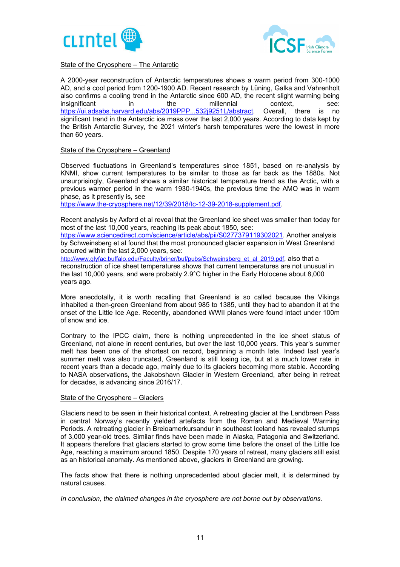



State of the Cryosphere – The Antarctic

A 2000-year reconstruction of Antarctic temperatures shows a warm period from 300-1000 AD, and a cool period from 1200-1900 AD. Recent research by Lüning, Galka and Vahrenholt also confirms a cooling trend in the Antarctic since 600 AD, the recent slight warming being insignificant in the millennial context, see: https://ui.adsabs.harvard.edu/abs/2019PPP...532j9251L/abstract. Overall, there is no significant trend in the Antarctic ice mass over the last 2,000 years. According to data kept by the British Antarctic Survey, the 2021 winter's harsh temperatures were the lowest in more than 60 years.

#### State of the Cryosphere – Greenland

Observed fluctuations in Greenland's temperatures since 1851, based on re-analysis by KNMI, show current temperatures to be similar to those as far back as the 1880s. Not unsurprisingly, Greenland shows a similar historical temperature trend as the Arctic, with a previous warmer period in the warm 1930-1940s, the previous time the AMO was in warm phase, as it presently is, see

https://www.the-cryosphere.net/12/39/2018/tc-12-39-2018-supplement.pdf.

Recent analysis by Axford et al reveal that the Greenland ice sheet was smaller than today for most of the last 10,000 years, reaching its peak about 1850, see:

https://www.sciencedirect.com/science/article/abs/pii/S0277379119302021. Another analysis by Schweinsberg et al found that the most pronounced glacier expansion in West Greenland occurred within the last 2,000 years, see:

http://www.glyfac.buffalo.edu/Faculty/briner/buf/pubs/Schweinsberg\_et\_al\_2019.pdf, also that a reconstruction of ice sheet temperatures shows that current temperatures are not unusual in the last 10,000 years, and were probably 2.9°C higher in the Early Holocene about 8,000 years ago.

More anecdotally, it is worth recalling that Greenland is so called because the Vikings inhabited a then-green Greenland from about 985 to 1385, until they had to abandon it at the onset of the Little Ice Age. Recently, abandoned WWII planes were found intact under 100m of snow and ice.

Contrary to the IPCC claim, there is nothing unprecedented in the ice sheet status of Greenland, not alone in recent centuries, but over the last 10,000 years. This year's summer melt has been one of the shortest on record, beginning a month late. Indeed last year's summer melt was also truncated, Greenland is still losing ice, but at a much lower rate in recent years than a decade ago, mainly due to its glaciers becoming more stable. According to NASA observations, the Jakobshavn Glacier in Western Greenland, after being in retreat for decades, is advancing since 2016/17.

#### State of the Cryosphere – Glaciers

Glaciers need to be seen in their historical context. A retreating glacier at the Lendbreen Pass in central Norway's recently yielded artefacts from the Roman and Medieval Warming Periods. A retreating glacier in Breioamerkursandur in southeast Iceland has revealed stumps of 3,000 year-old trees. Similar finds have been made in Alaska, Patagonia and Switzerland. It appears therefore that glaciers started to grow some time before the onset of the Little Ice Age, reaching a maximum around 1850. Despite 170 years of retreat, many glaciers still exist as an historical anomaly. As mentioned above, glaciers in Greenland are growing.

The facts show that there is nothing unprecedented about glacier melt, it is determined by natural causes.

*In conclusion, the claimed changes in the cryosphere are not borne out by observations.*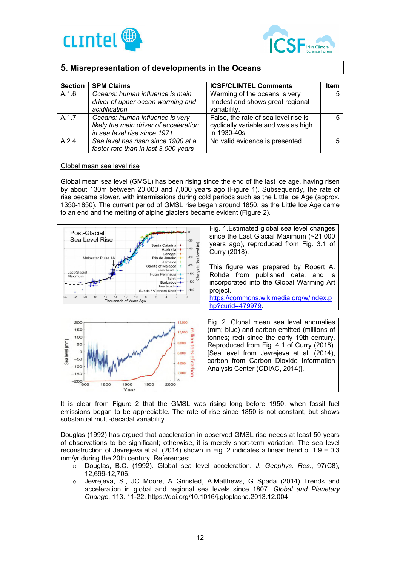



# **5. Misrepresentation of developments in the Oceans**

| <b>Section</b> | <b>SPM Claims</b>                                                                                         | <b>ICSF/CLINTEL Comments</b>                                                               | <b>Item</b> |
|----------------|-----------------------------------------------------------------------------------------------------------|--------------------------------------------------------------------------------------------|-------------|
| A.1.6          | Oceans: human influence is main<br>driver of upper ocean warming and<br>acidification                     | Warming of the oceans is very<br>modest and shows great regional<br>variability.           |             |
| A.1.7          | Oceans: human influence is very<br>likely the main driver of acceleration<br>in sea level rise since 1971 | False, the rate of sea level rise is<br>cyclically variable and was as high<br>in 1930-40s |             |
| A.2.4          | Sea level has risen since 1900 at a<br>faster rate than in last 3,000 years                               | No valid evidence is presented                                                             |             |

#### Global mean sea level rise

Global mean sea level (GMSL) has been rising since the end of the last ice age, having risen by about 130m between 20,000 and 7,000 years ago (Figure 1). Subsequently, the rate of rise became slower, with intermissions during cold periods such as the Little Ice Age (approx. 1350-1850). The current period of GMSL rise began around 1850, as the Little Ice Age came to an end and the melting of alpine glaciers became evident (Figure 2).





It is clear from Figure 2 that the GMSL was rising long before 1950, when fossil fuel emissions began to be appreciable. The rate of rise since 1850 is not constant, but shows substantial multi-decadal variability.

Douglas (1992) has argued that acceleration in observed GMSL rise needs at least 50 years of observations to be significant; otherwise, it is merely short-term variation. The sea level reconstruction of Jevrejeva et al. (2014) shown in Fig. 2 indicates a linear trend of 1.9 ± 0.3 mm/yr during the 20th century. References:

- o Douglas, B.C. (1992). Global sea level acceleration. *J. Geophys. Res*., 97(C8), 12,699-12,706.
- Jevrejeva, S., JC Moore, A Grinsted, A.Matthews, G Spada (2014) Trends and acceleration in global and regional sea levels since 1807. *Global and Planetary Change*, 113. 11-22. https://doi.org/10.1016/j.gloplacha.2013.12.004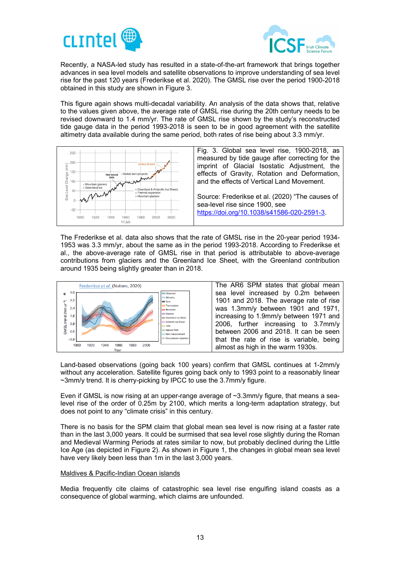



Recently, a NASA-led study has resulted in a state-of-the-art framework that brings together advances in sea level models and satellite observations to improve understanding of sea level rise for the past 120 years (Frederikse et al. 2020). The GMSL rise over the period 1900-2018 obtained in this study are shown in Figure 3.

This figure again shows multi-decadal variability. An analysis of the data shows that, relative to the values given above, the average rate of GMSL rise during the 20th century needs to be revised downward to 1.4 mm/yr. The rate of GMSL rise shown by the study's reconstructed tide gauge data in the period 1993-2018 is seen to be in good agreement with the satellite altimetry data available during the same period, both rates of rise being about 3.3 mm/yr.



The Frederikse et al. data also shows that the rate of GMSL rise in the 20-year period 1934- 1953 was 3.3 mm/yr, about the same as in the period 1993-2018. According to Frederikse et al., the above-average rate of GMSL rise in that period is attributable to above-average contributions from glaciers and the Greenland Ice Sheet, with the Greenland contribution around 1935 being slightly greater than in 2018.



Land-based observations (going back 100 years) confirm that GMSL continues at 1-2mm/y without any acceleration. Satellite figures going back only to 1993 point to a reasonably linear  $\sim$ 3mm/y trend. It is cherry-picking by IPCC to use the 3.7mm/y figure.

Even if GMSL is now rising at an upper-range average of ~3.3mm/y figure, that means a sealevel rise of the order of 0.25m by 2100, which merits a long-term adaptation strategy, but does not point to any "climate crisis" in this century.

There is no basis for the SPM claim that global mean sea level is now rising at a faster rate than in the last 3,000 years. It could be surmised that sea level rose slightly during the Roman and Medieval Warming Periods at rates similar to now, but probably declined during the Little Ice Age (as depicted in Figure 2). As shown in Figure 1, the changes in global mean sea level have very likely been less than 1m in the last 3,000 years.

#### Maldives & Pacific-Indian Ocean islands

Media frequently cite claims of catastrophic sea level rise engulfing island coasts as a consequence of global warming, which claims are unfounded.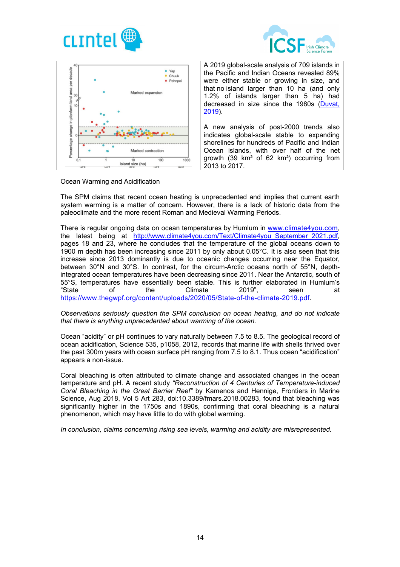





## Ocean Warming and Acidification

The SPM claims that recent ocean heating is unprecedented and implies that current earth system warming is a matter of concern. However, there is a lack of historic data from the paleoclimate and the more recent Roman and Medieval Warming Periods.

There is regular ongoing data on ocean temperatures by Humlum in www.climate4you.com, the latest being at http://www.climate4you.com/Text/Climate4you\_September\_2021.pdf, pages 18 and 23, where he concludes that the temperature of the global oceans down to 1900 m depth has been increasing since 2011 by only about 0.05°C. It is also seen that this increase since 2013 dominantly is due to oceanic changes occurring near the Equator, between 30°N and 30°S. In contrast, for the circum-Arctic oceans north of 55°N, depthintegrated ocean temperatures have been decreasing since 2011. Near the Antarctic, south of 55°S, temperatures have essentially been stable. This is further elaborated in Humlum's "State of the Climate 2019", seen at https://www.thegwpf.org/content/uploads/2020/05/State-of-the-climate-2019.pdf.

#### *Observations seriously question the SPM conclusion on ocean heating, and do not indicate that there is anything unprecedented about warming of the ocean.*

Ocean "acidity" or pH continues to vary naturally between 7.5 to 8.5. The geological record of ocean acidification, Science 535, p1058, 2012, records that marine life with shells thrived over the past 300m years with ocean surface pH ranging from 7.5 to 8.1. Thus ocean "acidification" appears a non-issue.

Coral bleaching is often attributed to climate change and associated changes in the ocean temperature and pH. A recent study *"Reconstruction of 4 Centuries of Temperature-induced Coral Bleaching in the Great Barrier Reef"* by Kamenos and Hennige, Frontiers in Marine Science, Aug 2018, Vol 5 Art 283, doi:10.3389/fmars.2018.00283, found that bleaching was significantly higher in the 1750s and 1890s, confirming that coral bleaching is a natural phenomenon, which may have little to do with global warming.

*In conclusion, claims concerning rising sea levels, warming and acidity are misrepresented.*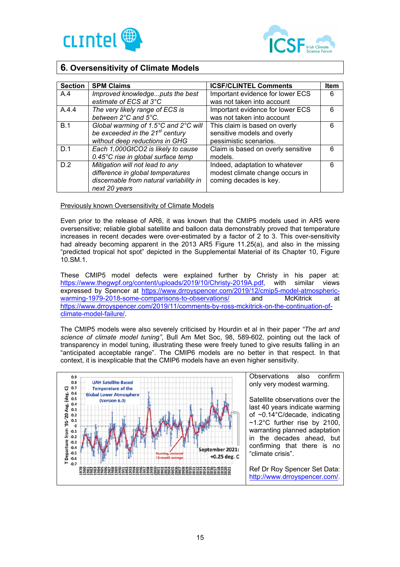



# **6. Oversensitivity of Climate Models**

| <b>Section</b> | <b>SPM Claims</b>                           | <b>ICSF/CLINTEL Comments</b>       | <b>Item</b> |
|----------------|---------------------------------------------|------------------------------------|-------------|
| A.4            | Improved knowledgeputs the best             | Important evidence for lower ECS   | 6           |
|                | estimate of ECS at 3°C                      | was not taken into account         |             |
| A.4.4          | The very likely range of ECS is             | Important evidence for lower ECS   | 6           |
|                | between 2°C and 5°C.                        | was not taken into account         |             |
| B.1            | Global warming of 1.5°C and 2°C will        | This claim is based on overly      | 6           |
|                | be exceeded in the 21 <sup>st</sup> century | sensitive models and overly        |             |
|                | without deep reductions in GHG              | pessimistic scenarios.             |             |
| D.1            | Each 1,000GtCO2 is likely to cause          | Claim is based on overly sensitive | 6           |
|                | 0.45°C rise in global surface temp          | models.                            |             |
| D.2            | Mitigation will not lead to any             | Indeed, adaptation to whatever     | 6           |
|                | difference in global temperatures           | modest climate change occurs in    |             |
|                | discernable from natural variability in     | coming decades is key.             |             |
|                | next 20 years                               |                                    |             |

## Previously known Oversensitivity of Climate Models

Even prior to the release of AR6, it was known that the CMIP5 models used in AR5 were oversensitive; reliable global satellite and balloon data demonstrably proved that temperature increases in recent decades were over-estimated by a factor of 2 to 3. This over-sensitivity had already becoming apparent in the 2013 AR5 Figure 11.25(a), and also in the missing "predicted tropical hot spot" depicted in the Supplemental Material of its Chapter 10, Figure 10.SM.1.

These CMIP5 model defects were explained further by Christy in his paper at: https://www.thegwpf.org/content/uploads/2019/10/Christy-2019A.pdf, with similar views expressed by Spencer at https://www.drroyspencer.com/2019/12/cmip5-model-atmospheric-<br>warming-1979-2018-some-comparisons-to-observations/ and McKitrick at warming-1979-2018-some-comparisons-to-observations/ and McKitrick at https://www.drroyspencer.com/2019/11/comments-by-ross-mckitrick-on-the-continuation-ofclimate-model-failure/.

The CMIP5 models were also severely criticised by Hourdin et al in their paper *"The art and science of climate model tuning"*, Bull Am Met Soc, 98, 589-602, pointing out the lack of transparency in model tuning, illustrating these were freely tuned to give results falling in an "anticipated acceptable range". The CMIP6 models are no better in that respect. In that context, it is inexplicable that the CMIP6 models have an even higher sensitivity.

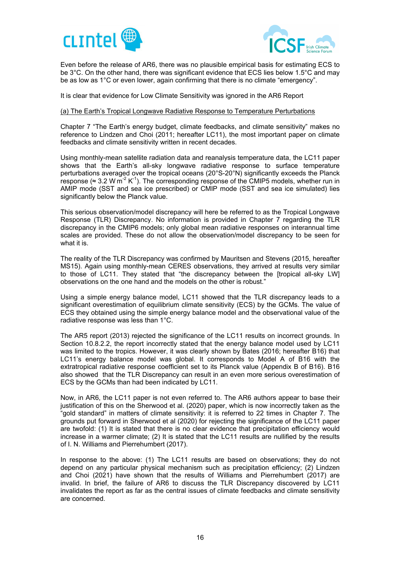



Even before the release of AR6, there was no plausible empirical basis for estimating ECS to be 3°C. On the other hand, there was significant evidence that ECS lies below 1.5°C and may be as low as 1°C or even lower, again confirming that there is no climate "emergency".

It is clear that evidence for Low Climate Sensitivity was ignored in the AR6 Report

## (a) The Earth's Tropical Longwave Radiative Response to Temperature Perturbations

Chapter 7 "The Earth's energy budget, climate feedbacks, and climate sensitivity" makes no reference to Lindzen and Choi (2011; hereafter LC11), the most important paper on climate feedbacks and climate sensitivity written in recent decades.

Using monthly-mean satellite radiation data and reanalysis temperature data, the LC11 paper shows that the Earth's all-sky longwave radiative response to surface temperature perturbations averaged over the tropical oceans (20°S-20°N) significantly exceeds the Planck response ( $\approx 3.2$  W  $\text{m}^2$  K<sup>-1</sup>). The corresponding response of the CMIP5 models, whether run in AMIP mode (SST and sea ice prescribed) or CMIP mode (SST and sea ice simulated) lies significantly below the Planck value.

This serious observation/model discrepancy will here be referred to as the Tropical Longwave Response (TLR) Discrepancy. No information is provided in Chapter 7 regarding the TLR discrepancy in the CMIP6 models; only global mean radiative responses on interannual time scales are provided. These do not allow the observation/model discrepancy to be seen for what it is.

The reality of the TLR Discrepancy was confirmed by Mauritsen and Stevens (2015, hereafter MS15). Again using monthly-mean CERES observations, they arrived at results very similar to those of LC11. They stated that "the discrepancy between the [tropical all-sky LW] observations on the one hand and the models on the other is robust."

Using a simple energy balance model, LC11 showed that the TLR discrepancy leads to a significant overestimation of equilibrium climate sensitivity (ECS) by the GCMs. The value of ECS they obtained using the simple energy balance model and the observational value of the radiative response was less than 1°C.

The AR5 report (2013) rejected the significance of the LC11 results on incorrect grounds. In Section 10.8.2.2, the report incorrectly stated that the energy balance model used by LC11 was limited to the tropics. However, it was clearly shown by Bates (2016; hereafter B16) that LC11's energy balance model was global. It corresponds to Model A of B16 with the extratropical radiative response coefficient set to its Planck value (Appendix B of B16). B16 also showed that the TLR Discrepancy can result in an even more serious overestimation of ECS by the GCMs than had been indicated by LC11.

Now, in AR6, the LC11 paper is not even referred to. The AR6 authors appear to base their justification of this on the Sherwood et al. (2020) paper, which is now incorrectly taken as the "gold standard" in matters of climate sensitivity: it is referred to 22 times in Chapter 7. The grounds put forward in Sherwood et al (2020) for rejecting the significance of the LC11 paper are twofold: (1) It is stated that there is no clear evidence that precipitation efficiency would increase in a warmer climate; (2) It is stated that the LC11 results are nullified by the results of I. N. Williams and Pierrehumbert (2017).

In response to the above: (1) The LC11 results are based on observations; they do not depend on any particular physical mechanism such as precipitation efficiency; (2) Lindzen and Choi (2021) have shown that the results of Williams and Pierrehumbert (2017) are invalid. In brief, the failure of AR6 to discuss the TLR Discrepancy discovered by LC11 invalidates the report as far as the central issues of climate feedbacks and climate sensitivity are concerned.